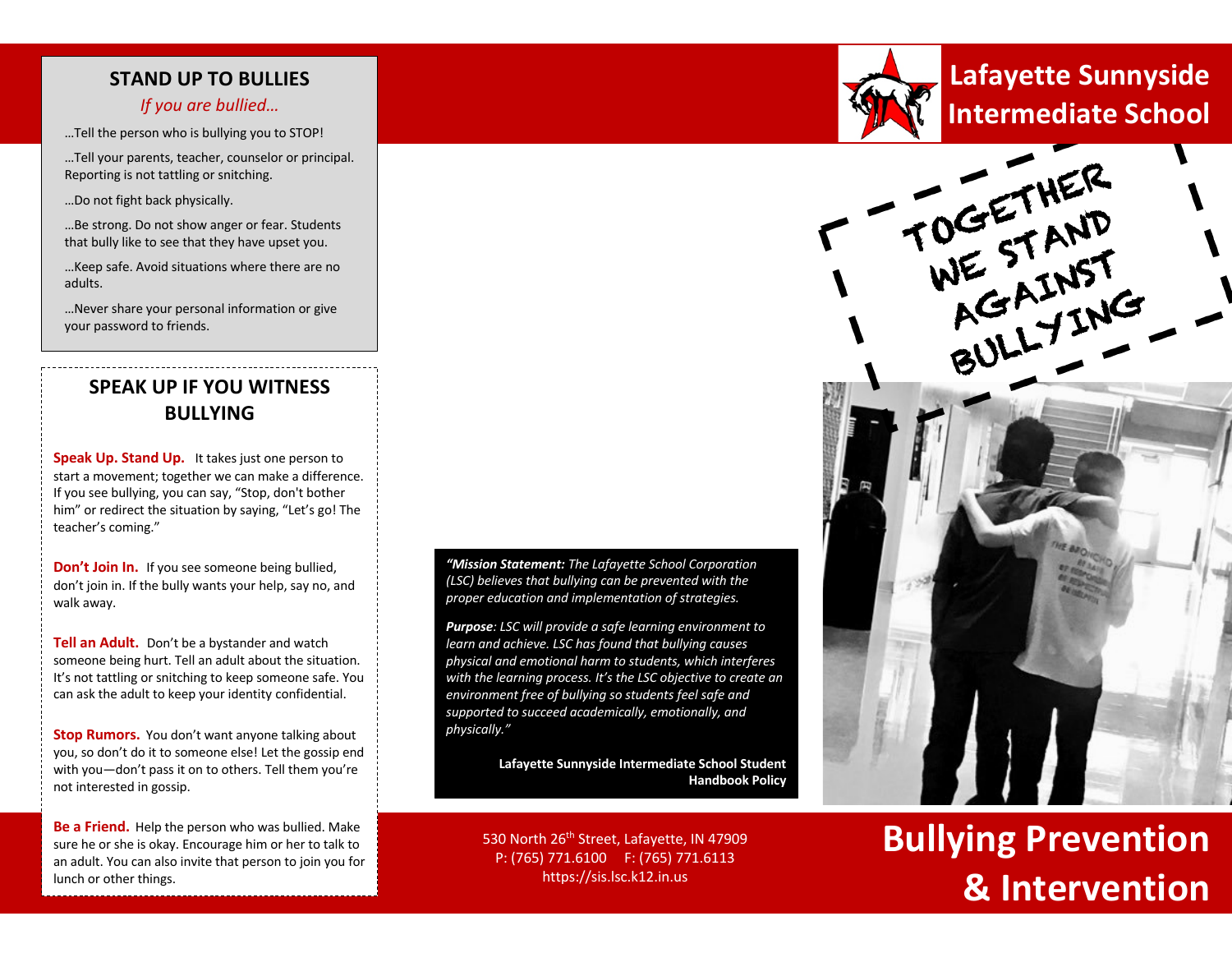### **STAND UP TO BULLIES**

#### *If you are bullied…*

…Tell the person who is bullying you to STOP!

…Tell your parents, teacher, counselor or principal. Reporting is not tattling or snitching.

…Do not fight back physically.

…Be strong. Do not show anger or fear. Students that bully like to see that they have upset you.

…Keep safe. Avoid situations where there are no adults.

…Never share your personal information or give your password to friends.

## **SPEAK UP IF YOU WITNESS BULLYING**

**Speak Up. Stand Up.** It takes just one person to start a movement; together we can make a difference. If you see bullying, you can say, "Stop, don't bother him" or redirect the situation by saying, "Let's go! The teacher's coming."

**Don't Join In.** If you see someone being bullied, don't join in. If the bully wants your help, say no, and walk away.

**Tell an Adult.** Don't be a bystander and watch someone being hurt. Tell an adult about the situation. It's not tattling or snitching to keep someone safe. You can ask the adult to keep your identity confidential.

**Stop Rumors.** You don't want anyone talking about you, so don't do it to someone else! Let the gossip end with you—don't pass it on to others. Tell them you're not interested in gossip.

**Be a Friend.** Help the person who was bullied. Make sure he or she is okay. Encourage him or her to talk to an adult. You can also invite that person to join you for lunch or other things.

*"Mission Statement: The Lafayette School Corporation (LSC) believes that bullying can be prevented with the proper education and implementation of strategies.*

*Purpose: LSC will provide a safe learning environment to learn and achieve. LSC has found that bullying causes physical and emotional harm to students, which interferes with the learning process. It's the LSC objective to create an environment free of bullying so students feel safe and supported to succeed academically, emotionally, and physically."*

> **Lafayette Sunnyside Intermediate School Student Handbook Policy**

530 North 26<sup>th</sup> Street, Lafayette, IN 47909 P: (765) 771.6100 F: (765) 771.6113 https://sis.lsc.k12.in.us



## **Intermediate School Lafayette Sunnyside**



# **Bullying Prevention & Intervention**